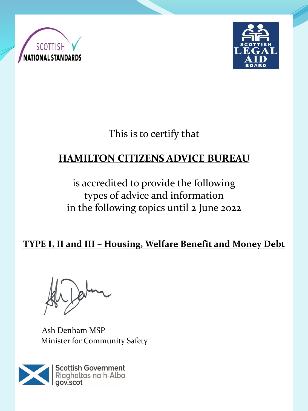



This is to certify that

# **HAMILTON CITIZENS ADVICE BUREAU**

is accredited to provide the following types of advice and information in the following topics until 2 June 2022

**TYPE I, II and III – Housing, Welfare Benefit and Money Debt** 

Ash Denham MSP Minister for Community Safety

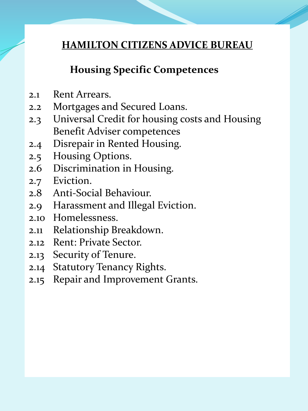#### **Housing Specific Competences**

- 2.1 Rent Arrears.
- 2.2 Mortgages and Secured Loans.
- 2.3 Universal Credit for housing costs and Housing Benefit Adviser competences
- 2.4 Disrepair in Rented Housing.
- 2.5 Housing Options.
- 2.6 Discrimination in Housing.
- 2.7 Eviction.
- 2.8 Anti-Social Behaviour.
- 2.9 Harassment and Illegal Eviction.
- 2.10 Homelessness.
- 2.11 Relationship Breakdown.
- 2.12 Rent: Private Sector.
- 2.13 Security of Tenure.
- 2.14 Statutory Tenancy Rights.
- 2.15 Repair and Improvement Grants.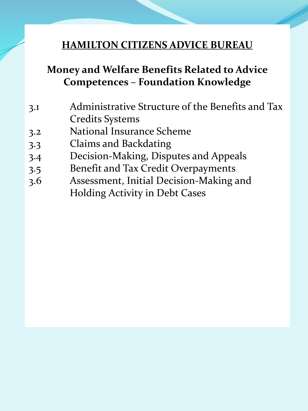# **Money and Welfare Benefits Related to Advice Competences – Foundation Knowledge**

- 3.1 Administrative Structure of the Benefits and Tax Credits Systems
- 3.2 National Insurance Scheme
- 3.3 Claims and Backdating
- 3.4 Decision-Making, Disputes and Appeals
- 3.5 Benefit and Tax Credit Overpayments
- 3.6 Assessment, Initial Decision-Making and Holding Activity in Debt Cases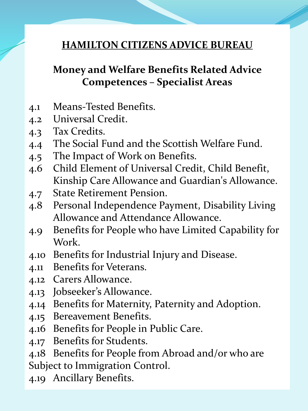### **Money and Welfare Benefits Related Advice Competences – Specialist Areas**

- 4.1 Means-Tested Benefits.
- 4.2 Universal Credit.
- 4.3 Tax Credits.
- 4.4 The Social Fund and the Scottish Welfare Fund.
- 4.5 The Impact of Work on Benefits.
- 4.6 Child Element of Universal Credit, Child Benefit, Kinship Care Allowance and Guardian's Allowance.
- 4.7 State Retirement Pension.
- 4.8 Personal Independence Payment, Disability Living Allowance and Attendance Allowance.
- 4.9 Benefits for People who have Limited Capability for Work.
- 4.10 Benefits for Industrial Injury and Disease.
- 4.11 Benefits for Veterans.
- 4.12 Carers Allowance.
- 4.13 Jobseeker's Allowance.
- 4.14 Benefits for Maternity, Paternity and Adoption.
- 4.15 Bereavement Benefits.
- 4.16 Benefits for People in Public Care.
- 4.17 Benefits for Students.
- 4.18 Benefits for People from Abroad and/or who are
- Subject to Immigration Control.
- 4.19 Ancillary Benefits.